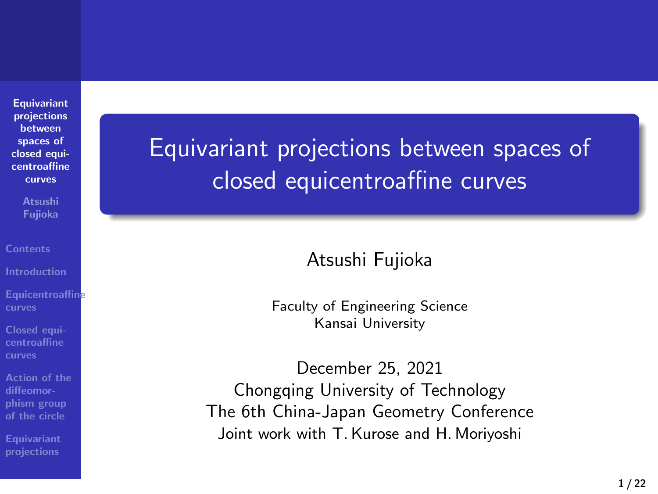**Equivariant projections between spaces of closed equi-centroaffine curves**

**Atsushi Fujioka**

**Equicentroaffine curves**

**Closed equi-centroaffine curves**

**Action of the diffeomor-phism group of the circle**

**Equivariant projections**

Equivariant projections between spaces of closed equicentroaffine curves

Atsushi Fujioka

Faculty of Engineering Science Kansai University

December 25, 2021 Chongqing University of Technology The 6th China-Japan Geometry Conference Joint work with T. Kurose and H. Moriyoshi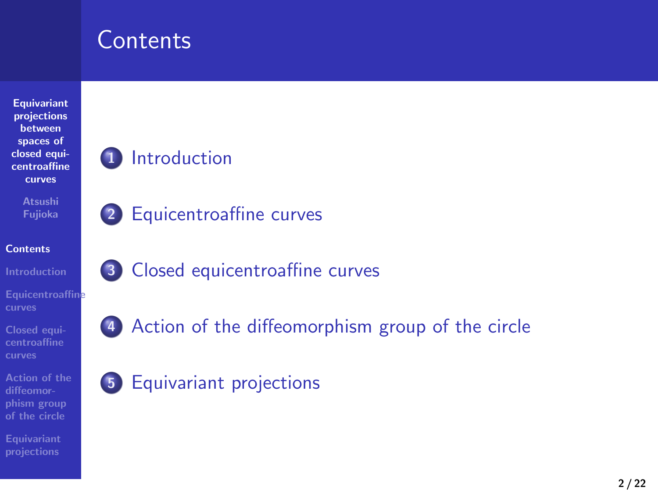# **Contents**

**1** Introduction

**2** Equicentroaffine curves

**5** Equivariant projections

**3** Closed equicentroaffine curves

**4** Action of the diffeomorphism group of the circle



**Equicentroaffine curves**

**Closed equi-centroaffine curves**

**Action of the diffeomor-phism group of the circle**

**Equivariant projections**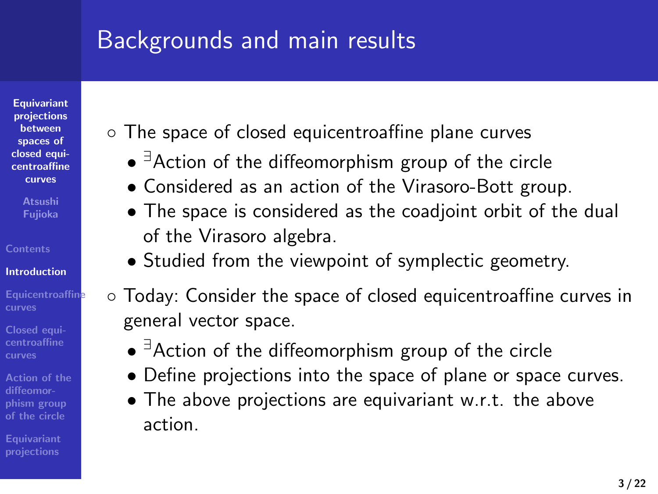# Backgrounds and main results

**Equivariant projections between spaces of closed equicentroaffine**

**curves**

**Atsushi Fujioka Contents**

**Introduction**

**centroaffine curves**

**diffeomor-phism group**

**Equivariant projections**

*◦* The space of closed equicentroaffine plane curves

- *• ∃*Action of the diffeomorphism group of the circle
- *•* Considered as an action of the Virasoro-Bott group.
- *•* The space is considered as the coadjoint orbit of the dual of the Virasoro algebra.
- *•* Studied from the viewpoint of symplectic geometry.
- *◦* Today: Consider the space of closed equicentroaffine curves in general vector space.
	- *• ∃*Action of the diffeomorphism group of the circle
	- *•* Define projections into the space of plane or space curves.
	- *•* The above projections are equivariant w.r.t. the above action.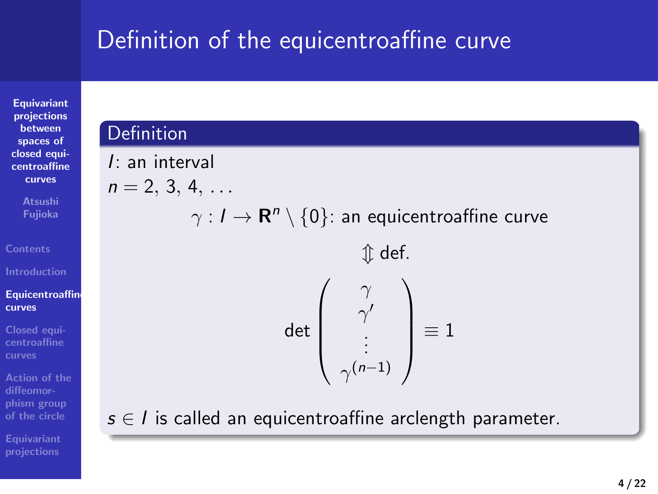# Definition of the equicentroaffine curve

**Equivariant projections between spaces of closed equi-centroaffine curves**

**Atsushi Fujioka**

**Equicentroaffine curves**

**Closed equi-centroaffine curves**

**Action of the diffeomor-phism group of the circle**

**Equivariant projections**

#### **Definition** *I*: an interval  $n = 2, 3, 4, \ldots$ *γ* : *I →* **R** *n \ {*0*}*: an equicentroaffine curve *m* def. det  $\sqrt{ }$  $\overline{\phantom{a}}$ *γ γ ′* . . . *γ* (*n−*1)  $\setminus$  *≡* 1 *s ∈ I* is called an equicentroaffine arclength parameter.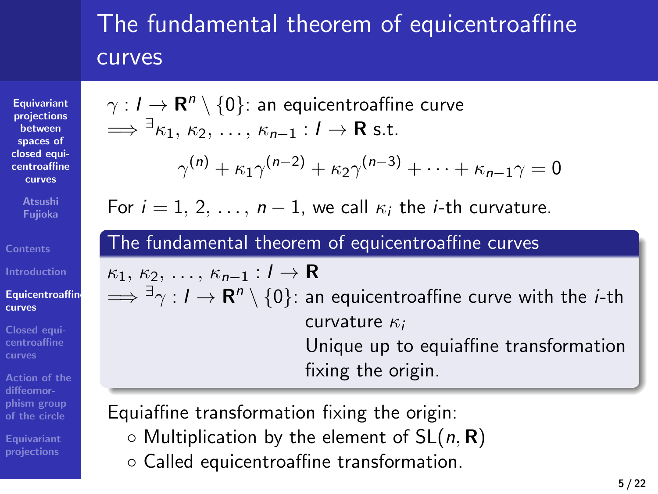## The fundamental theorem of equicentroaffine curves

**Equivariant projections between spaces of closed equicentroaffine curves**

**Atsushi Fujioka Contents**

**Introduction Equicentroaffin curves**

**centroaffine curves**

**phism group**

**Equivariant projections**

# *γ* : *I →* **R** *n \ {*0*}*: an equicentroaffine curve =*⇒ <sup>∃</sup>κ*1*, κ*2*, . . . , κn−*<sup>1</sup> : *I →* **R** s.t.  $\gamma^{(n)} + \kappa_1 \gamma^{(n-2)} + \kappa_2 \gamma^{(n-3)} + \cdots + \kappa_{n-1} \gamma = 0$

For  $i = 1, 2, \ldots, n - 1$ , we call  $\kappa_i$  the *i*-th curvature.

#### The fundamental theorem of equicentroaffine curves

*κ*1*, κ*2*, . . . , κn−*<sup>1</sup> : *I →* **R** =*⇒ ∃γ* : *I →* **R** *n \ {*0*}*: an equicentroaffine curve with the *i*-th curvature *κ<sup>i</sup>* Unique up to equiaffine transformation fixing the origin.

Equiaffine transformation fixing the origin:

- *◦* Multiplication by the element of SL(*n,* **R**)
- *◦* Called equicentroaffine transformation.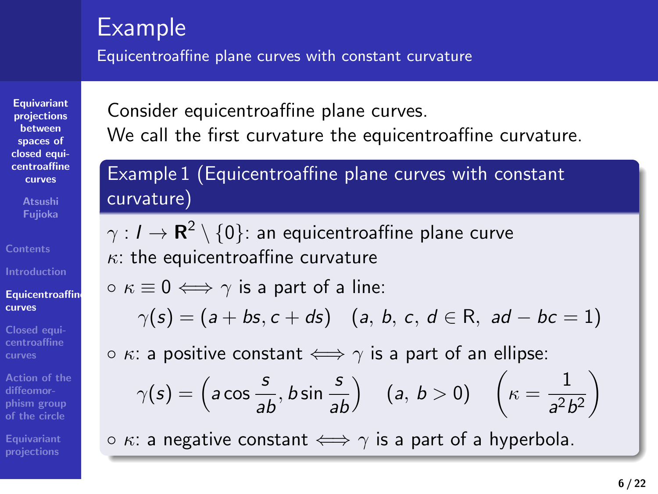#### Example

**Atsushi Fujioka**

**Introduction Equicentroaffine curves**

**Closed equi-centroaffine curves**

**diffeomor-phism group of the circle**

**Equivariant projections**

Equicentroaffine plane curves with constant curvature

**Equivariant projections between spaces of closed equi-centroaffine curves** Consider equicentroaffine plane curves. We call the first curvature the equicentroaffine curvature.

Example 1 (Equicentroaffine plane curves with constant curvature)

*γ* : *I →* **R** 2 *\ {*0*}*: an equicentroaffine plane curve *κ*: the equicentroaffine curvature

*◦ κ ≡* 0 *⇐⇒ γ* is a part of a line:

$$
\gamma(s) = (a + bs, c + ds) \quad (a, b, c, d \in \mathbb{R}, \text{ ad } -bc = 1)
$$

*◦ κ*: a positive constant *⇐⇒ γ* is a part of an ellipse:

$$
\gamma(s) = \left(a\cos\frac{s}{ab}, b\sin\frac{s}{ab}\right) \quad (a, b > 0) \quad \left(\kappa = \frac{1}{a^2b^2}\right)
$$

*◦ κ*: a negative constant *⇐⇒ γ* is a part of a hyperbola.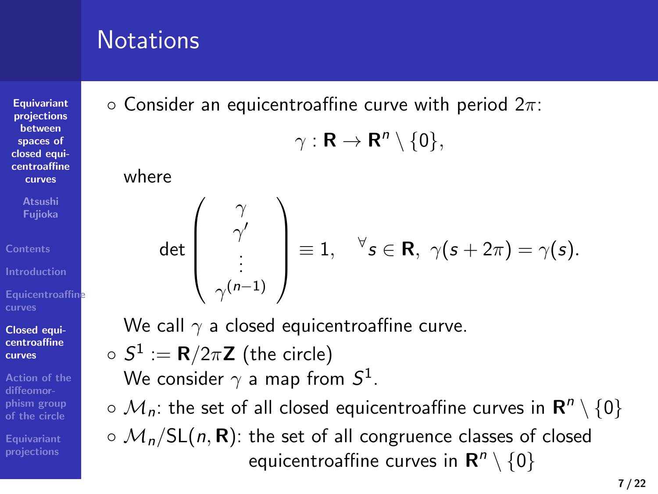# **Notations**

**Equivariant projections between spaces of closed equi-centroaffine curves**

**Atsushi Fujioka**

**Equicentroaffine curves**

**Closed equi-centroaffine curves**

**Action of the diffeomor-phism group of the circle**

**Equivariant projections**

# *◦* Consider an equicentroaffine curve with period 2*π*:

$$
\gamma: \mathbf{R} \to \mathbf{R}^n \setminus \{0\},\
$$

where

$$
\det\left(\begin{array}{c} \gamma \\ \gamma' \\ \vdots \\ \gamma^{(n-1)} \end{array}\right) \equiv 1, \quad \forall s \in \mathbf{R}, \ \gamma(s+2\pi) = \gamma(s).
$$

We call  $γ$  a closed equicentroaffine curve.

 $\circ$   $S^1 := \mathsf{R}/2\pi\mathsf{Z}$  (the circle)

We consider *γ* a map from *S* 1 .

*◦ Mn*: the set of all closed equicentroaffine curves in **R** *n \ {*0*}*

*◦ Mn/*SL(*n,* **R**): the set of all congruence classes of closed equicentroaffine curves in  $\mathbf{R}^n \setminus \{0\}$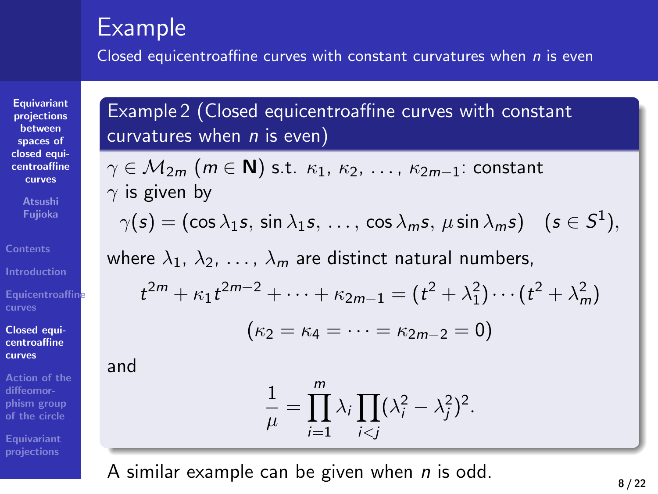#### Example

Closed equicentroaffine curves with constant curvatures when *n* is even

**Equivariant projections between spaces of closed equi-centroaffine curves**

**Atsushi Fujioka**

**Equicentroaffine curves**

**Closed equi-centroaffine curves**

**Action of the diffeomor-phism group of the circle Equivariant projections**

Example 2 (Closed equicentroaffine curves with constant curvatures when *n* is even)

*γ ∈ M*2*<sup>m</sup>* (*m ∈* **N**) s.t. *κ*1, *κ*2, *. . .* , *κ*2*m−*1: constant *γ* is given by

$$
\gamma(s) = (\cos \lambda_1 s, \sin \lambda_1 s, \ldots, \cos \lambda_m s, \mu \sin \lambda_m s) \quad (s \in S^1),
$$

where  $\lambda_1$ ,  $\lambda_2$ , ...,  $\lambda_m$  are distinct natural numbers,

$$
t^{2m} + \kappa_1 t^{2m-2} + \dots + \kappa_{2m-1} = (t^2 + \lambda_1^2) \cdots (t^2 + \lambda_m^2)
$$

$$
(\kappa_2 = \kappa_4 = \cdots = \kappa_{2m-2} = 0)
$$

and

$$
\frac{1}{\mu} = \prod_{i=1}^m \lambda_i \prod_{i < j} (\lambda_i^2 - \lambda_j^2)^2.
$$

A similar example can be given when *n* is odd.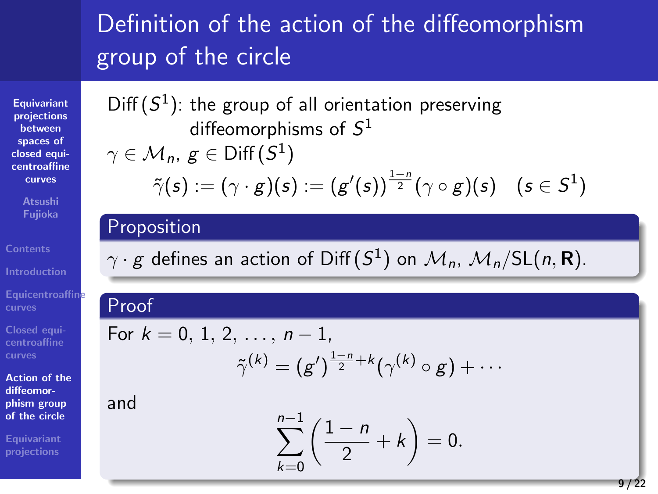# Definition of the action of the diffeomorphism group of the circle

**Equivariant projections between spaces of closed equi-centroaffine curves**

**Atsushi Fujioka**

**Equicentroaffine curves**

**Closed equi-centroaffine curves**

**Action of the diffeomor-phism group of the circle**

**Equivariant projections**

 $Diff(S<sup>1</sup>)$ : the group of all orientation preserving diffeomorphisms of *S* 1

 $\gamma \in \mathcal{M}_n$ ,  $g \in \mathsf{Diff}\left( \mathsf{S}^1 \right)$ 

$$
\tilde{\gamma}(s):=(\gamma\cdot g)(s):=(g'(s))^{\frac{1-n}{2}}(\gamma\circ g)(s)\quad (s\in S^1)
$$

#### **Proposition**

 $\gamma \cdot g$  defines an action of Diff $(S^1)$  on  $\mathcal{M}_n$ ,  $\mathcal{M}_n/\mathsf{SL}(n,\mathbf{R})$ .

## Proof

and

For  $k = 0, 1, 2, \ldots, n - 1$ ,  $\tilde{\gamma}^{(k)} = (g')^{\frac{1-n}{2}+k} (\gamma^{(k)} \circ g) + \cdots$ 

$$
\sum_{n=0}^{n-1} \left( \frac{1-n}{2} + k \right) = 0.
$$

*k*=0

$$
f_{\rm{max}}
$$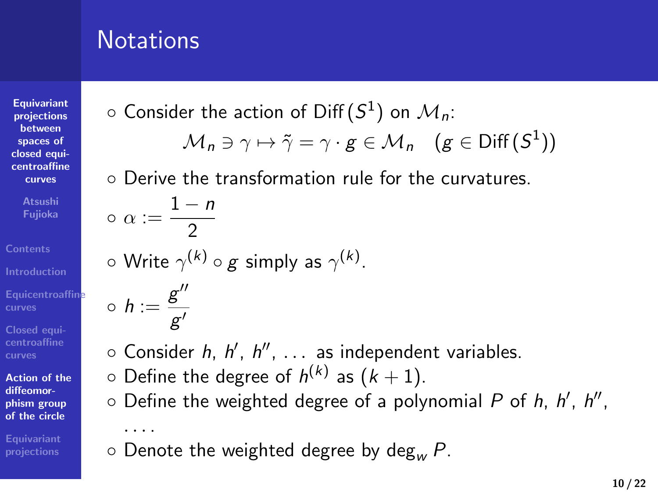# **Notations**

**Equivariant projections between spaces of closed equi-centroaffine curves**

**Atsushi Fujioka**

**Equicentroaffine curves**

**Closed equi-centroaffine curves**

**Action of the diffeomor-phism group of the circle**

**Equivariant projections**

*◦* Consider the action of Diff (*S* 1 ) on *Mn*:

$$
\mathcal{M}_n \ni \gamma \mapsto \tilde{\gamma} = \gamma \cdot g \in \mathcal{M}_n \quad (g \in \text{Diff}(S^1))
$$

*◦* Derive the transformation rule for the curvatures.

*◦* Consider *h*, *h ′* , *h ′′* , *. . .* as independent variables.

*◦* Define the weighted degree of a polynomial *P* of *h*, *h*

$$
\circ \text{ Derive the transformation } \theta
$$
  

$$
\circ \alpha := \frac{1-n}{2}
$$

*◦* Write *γ* (*k*) *◦ g* simply as *γ* (*k*) .

2

*g ′*

 $\circ$  *h* :=  $\frac{g''}{g'}$ 

*. . .* .

$$
h, h', h'',
$$

*◦* Denote the weighted degree by deg*<sup>w</sup> P*.

 $\circ$  Define the degree of  $h^{(k)}$  as  $(k+1)$ .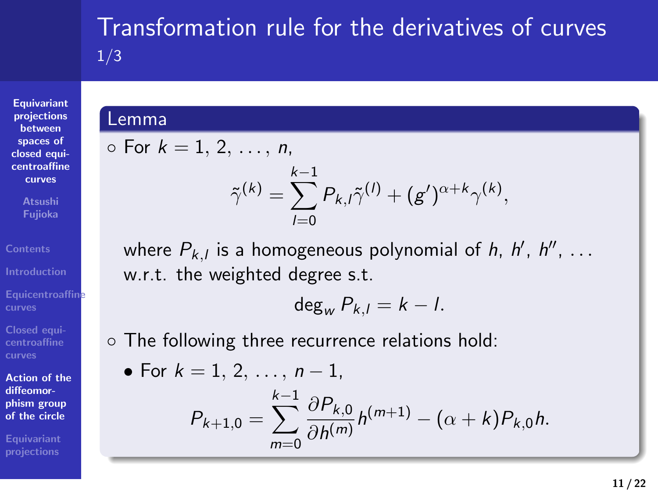## 1/3

**Equivariant projections between spaces of closed equi-centroaffine curves**

**Atsushi Fujioka**

**Equicentroaffine curves**

**Closed equi-centroaffine curves**

**Action of the diffeomor-phism group of the circle**

**Equivariant projections**

#### Lemma

*◦* For *k* = 1*,* 2*, . . . , n*, *k−*1

$$
\tilde{\gamma}^{(k)} = \sum_{l=0}^{k-1} P_{k,l} \tilde{\gamma}^{(l)} + (g')^{\alpha+k} \gamma^{(k)},
$$

Transformation rule for the derivatives of curves

where *Pk,<sup>l</sup>* is a homogeneous polynomial of *h*, *h ′* , *h ′′* , *. . .* w.r.t. the weighted degree s.t.

$$
\deg_{w} P_{k,l} = k-l.
$$

*◦* The following three recurrence relations hold:

• For 
$$
k = 1, 2, ..., n - 1
$$
,  
\n
$$
P_{k+1,0} = \sum_{m=0}^{k-1} \frac{\partial P_{k,0}}{\partial h^{(m)}} h^{(m+1)} - (\alpha + k) P_{k,0} h.
$$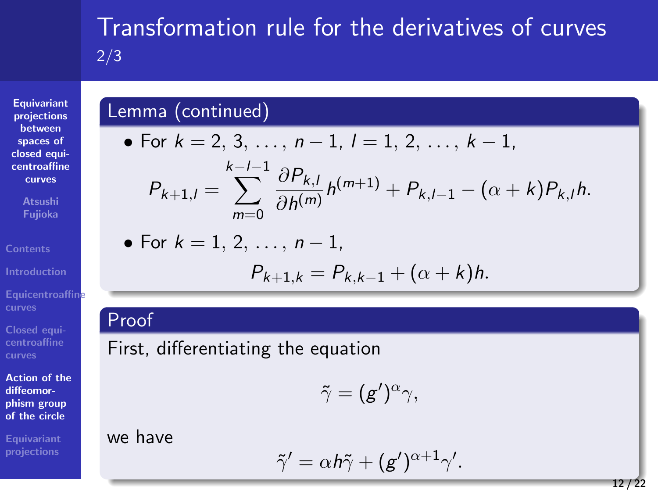# **Equivariant projections between spaces of closed equi-centroaffine curves**

**Atsushi Fujioka**

**Equicentroaffine curves**

**Closed equi-centroaffine curves**

**Action of the diffeomor-phism group of the circle**

**Equivariant projections**

we have

Proof

# Transformation rule for the derivatives of curves 2/3

# Lemma (continued)

First, differentiating the equation

\n- For 
$$
k = 2, 3, \ldots, n - 1, l = 1, 2, \ldots, k - 1
$$
,
\n- $P_{k+1,l} = \sum_{m=0}^{k-l-1} \frac{\partial P_{k,l}}{\partial h^{(m)}} h^{(m+1)} + P_{k,l-1} - (\alpha + k) P_{k,l} h.$
\n- For  $k = 1, 2, \ldots, n - 1$ ,
\n

$$
P_{m=0} \quad \partial h^{(m)} \quad \text{where} \quad \text{where } h = 1, 2, \ldots, n-1,
$$
\n
$$
P_{k+1,k} = P_{k,k-1} + (\alpha + k)h.
$$

$$
P_{k+1,k} = P_{k,k-1} + (\alpha + k)h.
$$

 $\tilde{\gamma} = (g')^{\alpha} \gamma,$ 

 $\tilde{\gamma}' = \alpha h \tilde{\gamma} + (g')^{\alpha+1} \gamma'.$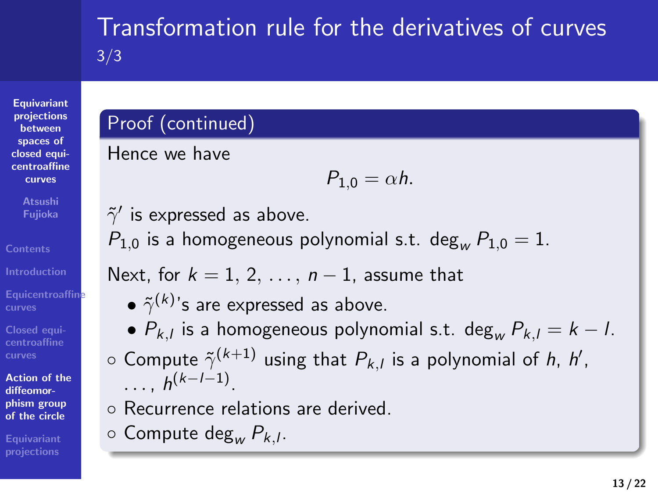**spaces of closed equicentroaffine curves**

**Atsushi Fujioka Contents**

**Introduction Equicentroaffine curves**

**Closed equi-centroaffine curves**

**Action of the diffeomor-phism group of the circle**

**Equivariant projections**

#### Transformation rule for the derivatives of curves 3/3

#### Proof (continued)

Hence we have

*P*<sub>1,0</sub> =  $\alpha$ *h.* 

 $\tilde{\gamma}'$  is expressed as above.

 $P_{1,0}$  is a homogeneous polynomial s.t. deg<sub>*w*</sub>  $P_{1,0} = 1$ .

Next, for *k* = 1*,* 2*, . . . , n −* 1, assume that

- $\bullet$   $\tilde{\gamma}^{(k)}$ 's are expressed as above.
- *• Pk,<sup>l</sup>* is a homogeneous polynomial s.t. deg*<sup>w</sup> Pk,<sup>l</sup>* = *k − l*.
- *◦* Compute ˜*γ* (*k*+1) using that *Pk,<sup>l</sup>* is a polynomial of *h*, *h ′* , *. . .* , *h* (*k−l−*1) .
- *◦* Recurrence relations are derived.
- *◦* Compute deg*<sup>w</sup> Pk,<sup>l</sup>* .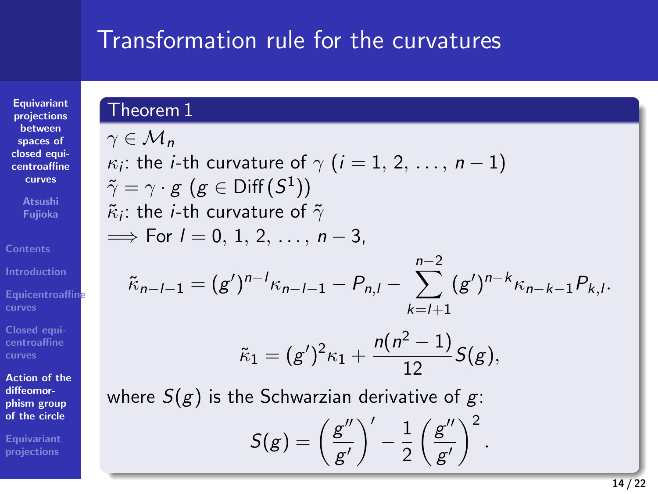## Transformation rule for the curvatures

**Equivariant projections between spaces of closed equicentroaffine curves**

**Atsushi Fujioka**

**Introductio** 

**Closed equi-centroaffine curves**

**Action of the diffeomor-phism group of the circle**

**Equivariant projections**

Theorem 1 *γ ∈ M<sup>n</sup> κ*<sub>*i*</sub>: the *i*-th curvature of  $\gamma$   $(i = 1, 2, ..., n - 1)$  $\tilde{\gamma} = \gamma \cdot g \,\, (g \in \mathsf{Diff}(\mathsf{S}^1))$  $\tilde{\kappa}_i$ : the *i-*th curvature of  $\tilde{\gamma}$ =*⇒* For *l* = 0*,* 1*,* 2*, . . . , n −* 3,  $\tilde{\kappa}_{n-l-1} = (g')^{n-l} \kappa_{n-l-1} - P_{n,l} - \sum_{i=1}^{n-2}$ *k*=*l*+1  $(g')^{n-k} \kappa_{n-k-1} P_{k,l}.$  $\tilde{\kappa}_1 = (g')^2 \kappa_1 + \frac{n(n^2-1)}{12}$  $\frac{1}{12}$  S(g), where *S*(*g*) is the Schwarzian derivative of *g*:  $S(g) = \left(\frac{g''}{g}\right)$ *g ′*  $\bigg)^{\prime} - \frac{1}{2}$ 2 ( *g ′′ g ′*  $\bigg)$ <sup>2</sup>.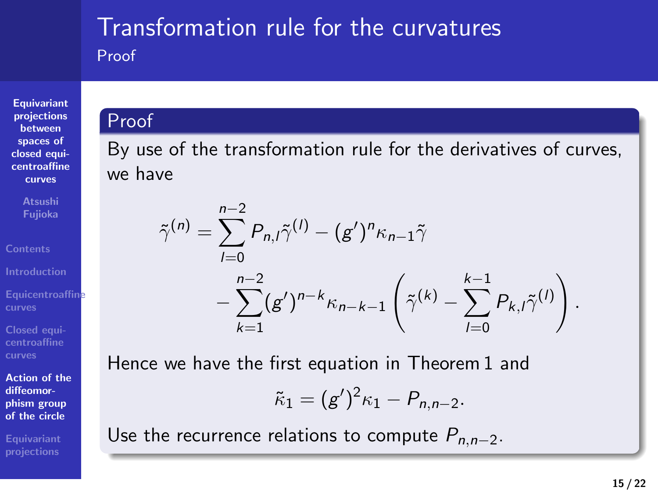## Transformation rule for the curvatures Proof

**Equivariant projections between spaces of closed equi-centroaffine curves**

**Atsushi Fujioka**

**Equicentroaffine curves**

**Closed equi-centroaffine curves**

**Action of the diffeomor-phism group of the circle**

**Equivariant projections**

## Proof

By use of the transformation rule for the derivatives of curves, we have

$$
\tilde{\gamma}^{(n)} = \sum_{l=0}^{n-2} P_{n,l} \tilde{\gamma}^{(l)} - (g')^n \kappa_{n-1} \tilde{\gamma} - \sum_{k=1}^{n-2} (g')^{n-k} \kappa_{n-k-1} \left( \tilde{\gamma}^{(k)} - \sum_{l=0}^{k-1} P_{k,l} \tilde{\gamma}^{(l)} \right)
$$

Hence we have the first equation in Theorem 1 and

$$
\tilde{\kappa}_1=(g')^2\kappa_1-P_{n,n-2}.
$$

Use the recurrence relations to compute  $P_{n,n-2}$ .

*.*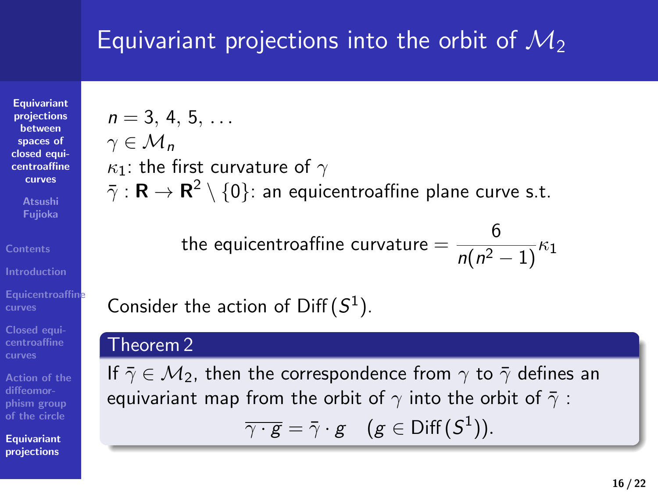# Equivariant projections into the orbit of *M*<sup>2</sup>

**Equivariant projections between spaces of closed equicentroaffine curves**

**Atsushi Fujioka**

**Closed equi-centroaffine curves**

**diffeomor-phism group**

**Equivariant projections**

#### $n = 3, 4, 5, \ldots$ *γ ∈ M<sup>n</sup> κ*1: the first curvature of *γ*  $\bar{\gamma}$  : **R** → **R**<sup>2</sup>  $\backslash$  {0}: an equicentroaffine plane curve s.t.

the equicentroaffine curvature  $= \displaystyle \frac{6}{n(n^2-1)} \kappa_1$ 

Consider the action of  $\text{Diff}(S^1)$ .

#### Theorem 2

If  $\bar{\gamma} \in \mathcal{M}_2$ , then the correspondence from  $\gamma$  to  $\bar{\gamma}$  defines an equivariant map from the orbit of  $\gamma$  into the orbit of  $\bar{\gamma}$  :  $\overline{\gamma \cdot g} = \bar{\gamma} \cdot g \quad (g \in \text{Diff}(\mathcal{S}^1)).$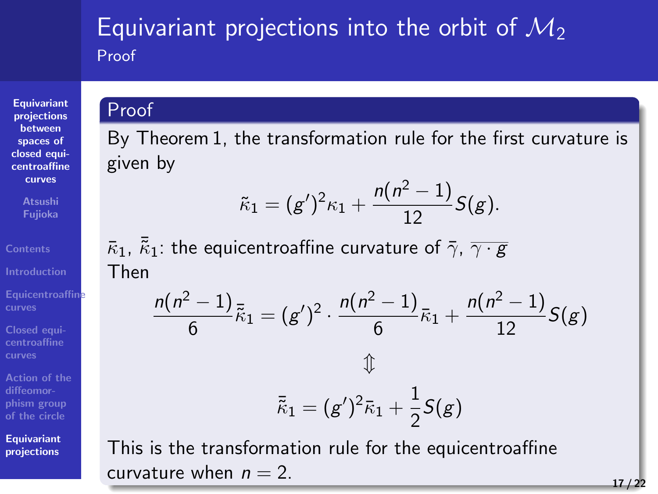## Equivariant projections into the orbit of *M*<sup>2</sup> Proof

**Equivariant projections between spaces of closed equi-centroaffine curves**

**Atsushi Fujioka**

**Equicentroaffine curves**

**Closed equi-centroaffine curves**

**Action of the diffeomor-phism group of the circle**

**Equivariant projections**

Proof

By Theorem 1, the transformation rule for the first curvature is given by

$$
\tilde{\kappa}_1 = (g')^2 \kappa_1 + \frac{n(n^2-1)}{12} S(g).
$$

 $\bar{k}_1$ ,  $\bar{k}_1$ : the equicentroaffine curvature of  $\bar{\gamma}$ ,  $\overline{\gamma \cdot g}$ Then

$$
\frac{n(n^2 - 1)}{6} \bar{K}_1 = (g')^2 \cdot \frac{n(n^2 - 1)}{6} \bar{K}_1 + \frac{n(n^2 - 1)}{12} S(g)
$$
  

$$
\hat{K}_1 = (g')^2 \bar{K}_1 + \frac{1}{2} S(g)
$$

This is the transformation rule for the equicentroaffine curvature when  $n = 2$ .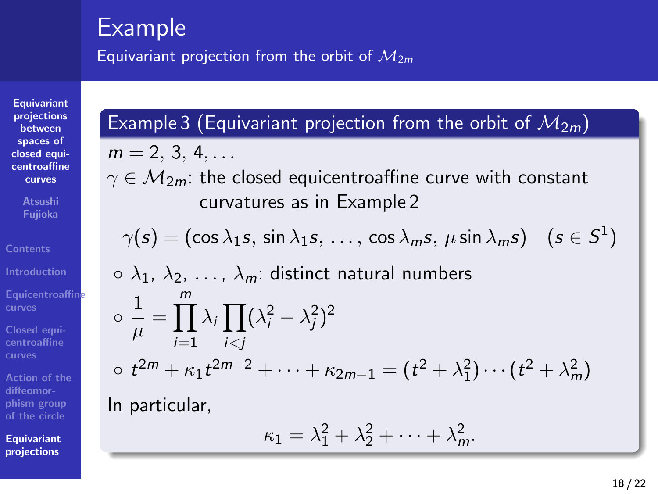# Example

Equivariant projection from the orbit of *M*2*<sup>m</sup>*

# **Equivariant projections between spaces of closed equi-centroaffine curves**

**Atsushi Fujioka**

**Equicentroaffine curves**

**Closed equi-centroaffine curves**

**Action of the diffeomor-phism group of the circle**

**Equivariant projections**

$$
m = 2, 3, 4, ...
$$
  
\n
$$
\gamma \in \mathcal{M}_{2m}
$$
: the closed equicentroaffine curve with constant  
\ncurvatures as in Example 2  
\n
$$
\gamma(s) = (\cos \lambda_1 s, \sin \lambda_1 s, ..., \cos \lambda_m s, \mu \sin \lambda_m s) \quad (s \in S^1)
$$
  
\n
$$
\circ \lambda_1, \lambda_2, ..., \lambda_m
$$
: distinct natural numbers  
\n
$$
\circ \frac{1}{\mu} = \prod_{i=1}^m \lambda_i \prod_{i < j} (\lambda_i^2 - \lambda_j^2)^2
$$
  
\n
$$
\circ t^{2m} + \kappa_1 t^{2m-2} + \dots + \kappa_{2m-1} = (t^2 + \lambda_1^2) \cdots (t^2 + \lambda_m^2)
$$
  
\nIn particular,  
\n
$$
\kappa_1 = \lambda_1^2 + \lambda_2^2 + \dots + \lambda_m^2.
$$

Example 3 (Equivariant projection from the orbit of  $M_{2m}$ )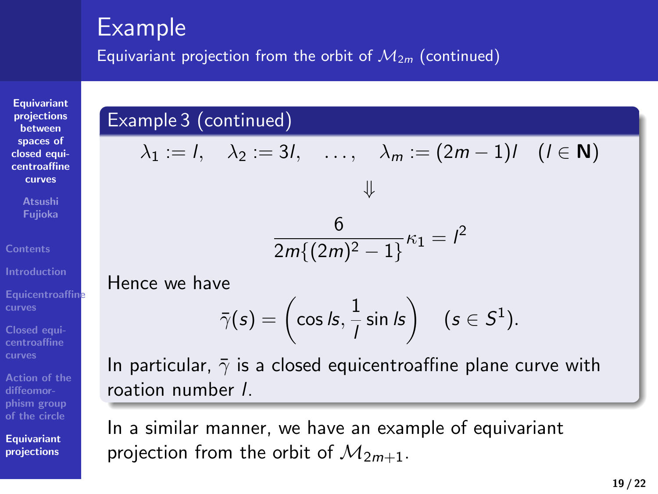### Example

**Equivariant projections between spaces of closed equi-centroaffine curves**

**Atsushi Fujioka**

**Equicentroaffine curves**

**Closed equi-centroaffine curves**

**Action of the diffeomor-phism group of the circle**

**Equivariant projections**

Equivariant projection from the orbit of *M*2*<sup>m</sup>* (continued)

## Example 3 (continued)

$$
\lambda_1 := l, \quad \lambda_2 := 3l, \quad \ldots, \quad \lambda_m := (2m-1)l \quad (l \in \mathbf{N})
$$

$$
\frac{6}{2m\{(2m)^2-1\}}\kappa_1 = l^2
$$

Hence we have

$$
\bar{\gamma}(s) = \left(\cos \, \text{ls}, \frac{1}{l} \sin \, \text{ls}\right) \quad (s \in S^1).
$$

In particular,  $\bar{\gamma}$  is a closed equicentroaffine plane curve with roation number *l*.

In a similar manner, we have an example of equivariant projection from the orbit of *M*2*m*+1.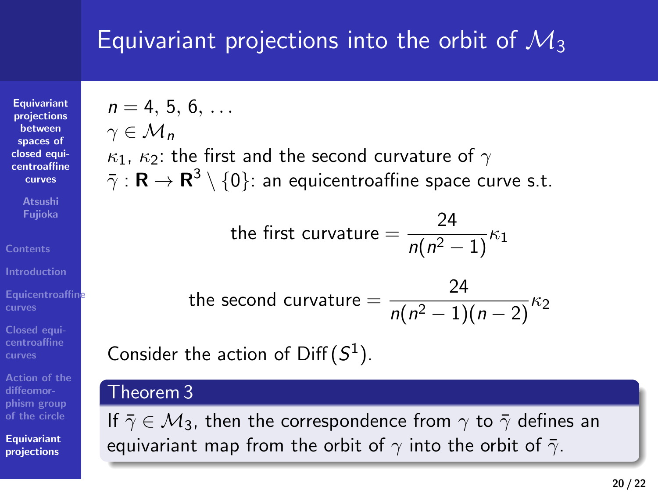# Equivariant projections into the orbit of *M*<sup>3</sup>

**Equivariant projections between spaces of closed equicentroaffine curves**

**Atsushi Fujioka**

**Closed equi-centroaffine curves**

**diffeomor-phism group**

**Equivariant projections**

# $n = 4, 5, 6, \ldots$ *γ ∈ M<sup>n</sup>*

*κ*1, *κ*2: the first and the second curvature of *γ*  $\bar{\gamma}:\mathbf{R}\to\mathbf{R}^3\setminus\{0\}$ : an equicentroaffine space curve s.t.

the first curvature = 
$$
\frac{24}{n(n^2-1)}\kappa_1
$$

 $t$ he second curvature  $= \frac{24}{n(n^2-1)(n-2)}\kappa_2$ 

Consider the action of  $\text{Diff}(S^1)$ .

#### Theorem 3

If  $\bar{\gamma} \in \mathcal{M}_3$ , then the correspondence from  $\gamma$  to  $\bar{\gamma}$  defines an equivariant map from the orbit of  $\gamma$  into the orbit of  $\bar{\gamma}$ .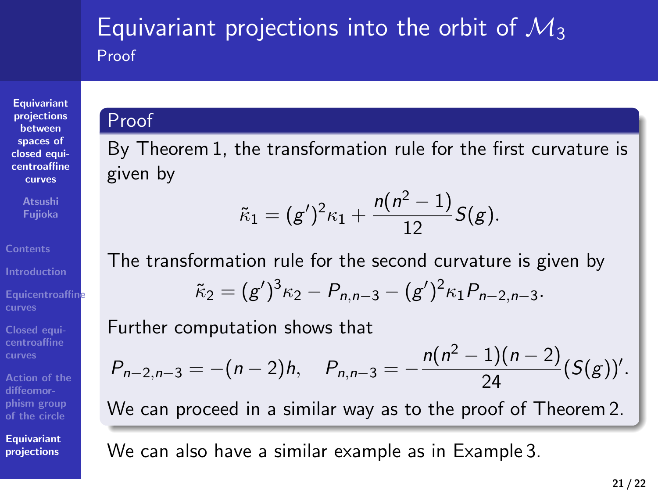### Equivariant projections into the orbit of *M*<sup>3</sup> Proof

**Equivariant projections between spaces of closed equi-centroaffine curves**

**Atsushi Fujioka**

**Equicentroaffine curves**

**Closed equi-centroaffine curves**

**Action of the diffeomor-phism group of the circle**

**Equivariant projections**

# Proof

By Theorem 1, the transformation rule for the first curvature is given by

$$
\tilde{\kappa}_1 = (g')^2 \kappa_1 + \frac{n(n^2-1)}{12} S(g).
$$

The transformation rule for the second curvature is given by

$$
\tilde{\kappa}_2=(g')^3\kappa_2-P_{n,n-3}-(g')^2\kappa_1P_{n-2,n-3}.
$$

Further computation shows that

$$
P_{n-2,n-3}=-(n-2)h, \quad P_{n,n-3}=-\frac{n(n^2-1)(n-2)}{24}(S(g))'.
$$

We can proceed in a similar way as to the proof of Theorem 2.

We can also have a similar example as in Example 3.